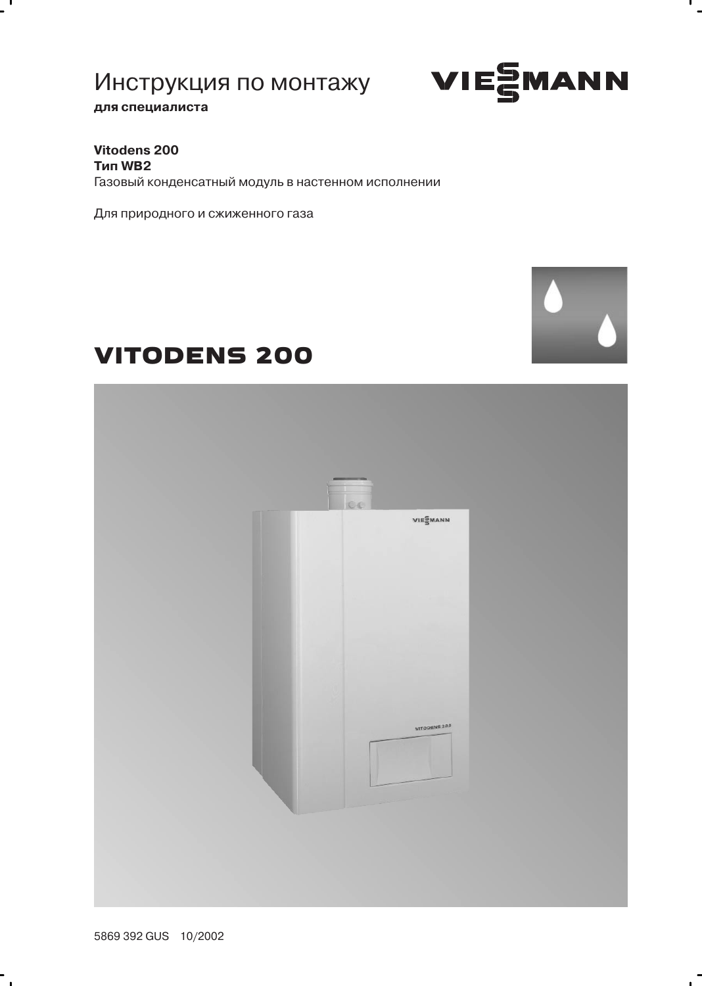

п.

для специалиста

 $\overline{ }$ 

Vitodens 200 **Тип WB2** Газовый конденсатный модуль в настенном исполнении

Для природного и сжиженного газа

# **VITODENS 200**



5869 392 GUS 10/2002

 $\ddot{\phantom{0}}$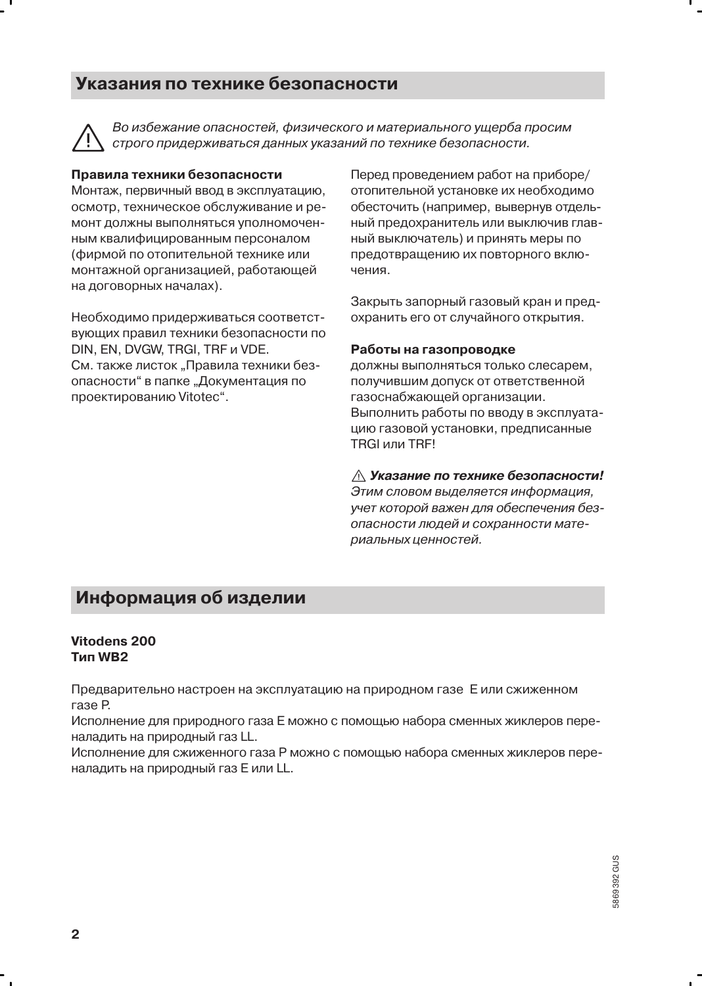### Указания по технике безопасности

Во избежание опасностей, физического и материального ушерба просим строго придерживаться данных указаний по технике безопасности.

#### Правила техники безопасности

Монтаж, первичный ввод в эксплуатацию, осмотр, техническое обслуживание и ремонт должны выполняться уполномоченным квалифицированным персоналом (фирмой по отопительной технике или монтажной организацией, работающей на договорных началах).

Необходимо придерживаться соответствующих правил техники безопасности по DIN, EN, DVGW, TRGI, TRF и VDE. См. также листок "Правила техники безопасности" в папке "Документация по проектированию Vitotec".

Перед проведением работ на приборе/ отопительной установке их необходимо обесточить (например, вывернув отдельный предохранитель или выключив главный выключатель) и принять меры по предотвращению их повторного включения.

Закрыть запорный газовый кран и предохранить его от случайного открытия.

#### Работы на газопроводке

должны выполняться только слесарем, получившим допуск от ответственной газоснабжающей организации. Выполнить работы по вводу в эксплуатацию газовой установки, предписанные TRGI или TRF!

#### ∧ Указание по технике безопасности!

Этим словом выделяется информация, учет которой важен для обеспечения безопасности людей и сохранности материальных ценностей.

### Информация об изделии

#### Vitodens 200 **Тип WB2**

Предварительно настроен на эксплуатацию на природном газе Е или сжиженном газе Р.

Исполнение для природного газа Е можно с помощью набора сменных жиклеров переналадить на природный газ LL.

Исполнение для сжиженного газа Р можно с помощью набора сменных жиклеров переналадить на природный газ Е или LL.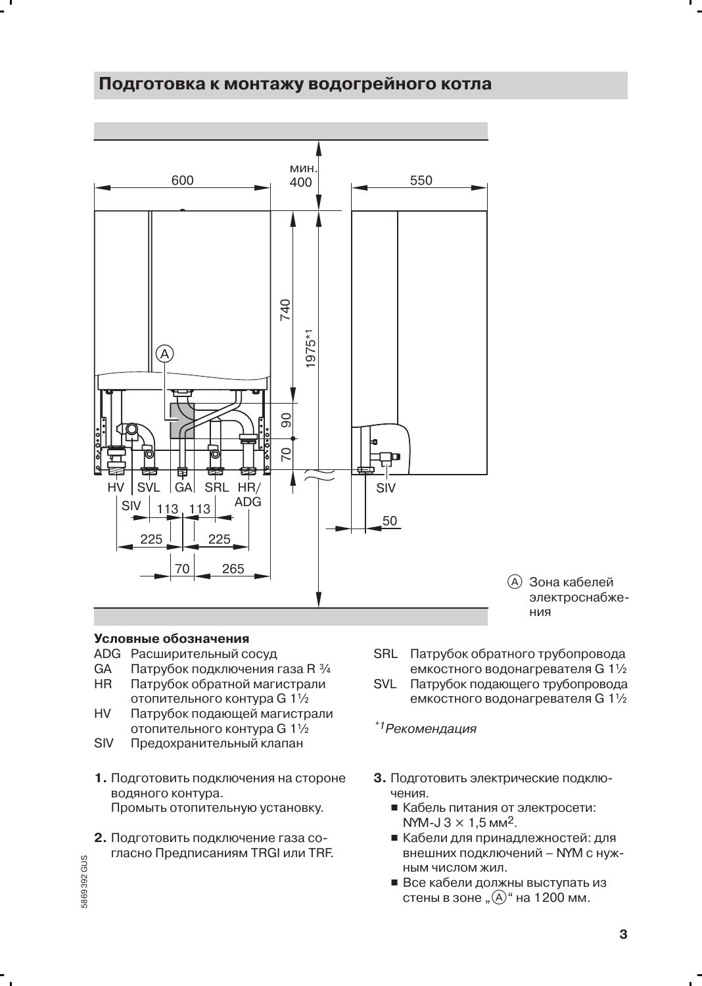#### Подготовка к монтажу водогрейного котла



#### Условные обозначения

- ADG Расширительный сосуд
- GA Патрубок подключения газа R 3/4 **HR** Патрубок обратной магистрали
- отопительного контура G 11/2 **HV**
- Патрубок подающей магистрали отопительного контура G 11/2
- **SIV** Предохранительный клапан
- 1. Подготовить подключения на стороне водяного контура. Промыть отопительную установку.
- 2. Подготовить подключение газа согласно Предписаниям TRGI или TRF.
- SRL Патрубок обратного трубопровода емкостного водонагревателя G 11/2
- **SVL** Патрубок подающего трубопровода емкостного водонагревателя G 11/2

\*1 Рекомендация

- 3. Подготовить электрические подклю-ЧАНИЯ
	- Кабель питания от электросети: NYM-J  $3 \times 1.5$  MM<sup>2</sup>.
	- Кабели для принадлежностей: для внешних подключений - NYM с нужным числом жил.
	- Все кабели должны выступать из стены в зоне " $\Theta$ " на 1200 мм.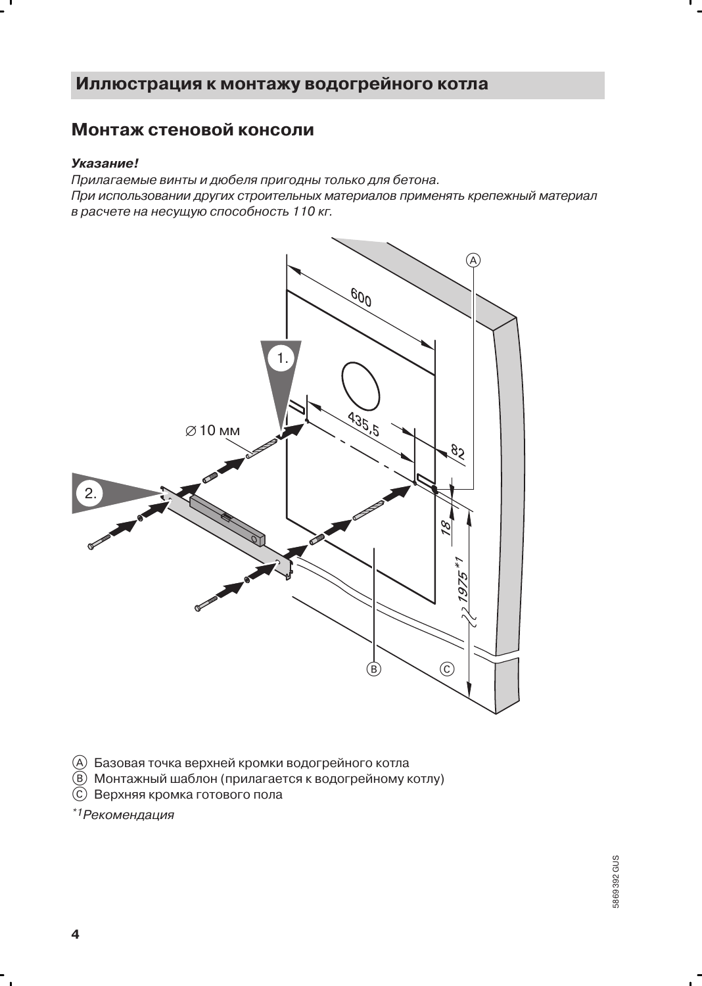### Иллюстрация к монтажу водогрейного котла

### Монтаж стеновой консоли

#### Указание!

Прилагаемые винты и дюбеля пригодны только для бетона. При использовании других строительных материалов применять крепежный материал в расчете на несущую способность 110 кг.



- (A) Базовая точка верхней кромки водогрейного котла
- **(B) Монтажный шаблон (прилагается к водогрейному котлу)**
- © Верхняя кромка готового пола

 $*1$ Рекомендация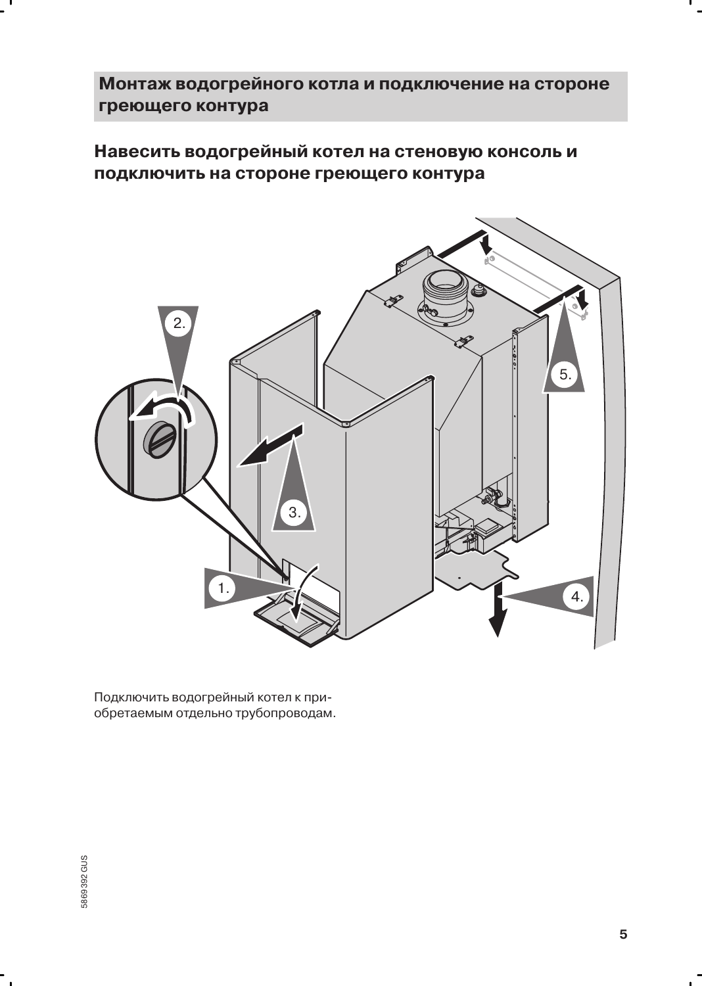## Монтаж водогрейного котла и подключение на стороне греющего контура

Навесить водогрейный котел на стеновую консоль и подключить на стороне греющего контура



Подключить водогрейный котел к приобретаемым отдельно трубопроводам.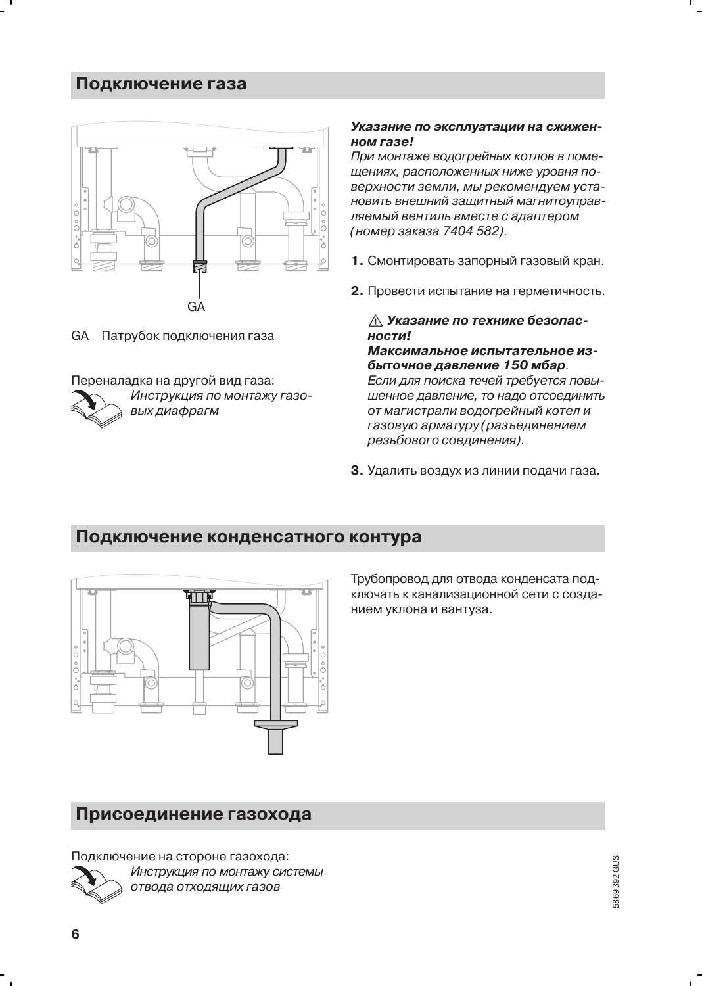### Подключение газа



**GA** Патрубок подключения газа

Переналадка на другой вид газа: Инструкция по монтажу газовых диафрагм

#### Указание по эксплуатации на сжиженном газе!

При монтаже водогрейных котлов в помещениях, расположенных ниже уровня поверхности земли. мы рекомендуем установить внешний защитный магнитоуправляемый вентиль вместе с адаптером (номер заказа 7404 582).

- 1. Смонтировать запорный газовый кран.
- 2. Провести испытание на герметичность.

#### ∆ Указание по технике безопасности!

Максимальное испытательное избыточное давление 150 мбар.

Если для поиска течей требуется повышенное давление, то надо отсоединить от магистрали водогрейный котел и газовую арматуру (разъединением резьбового соединения).

3. Удалить воздух из линии подачи газа.

### Подключение конденсатного контура



Трубопровод для отвода конденсата подключать к канализационной сети с созданием уклона и вантуза.

### Присоединение газохода

Подключение на стороне газохода: Инструкция по монтажу системы отвода отходящих газов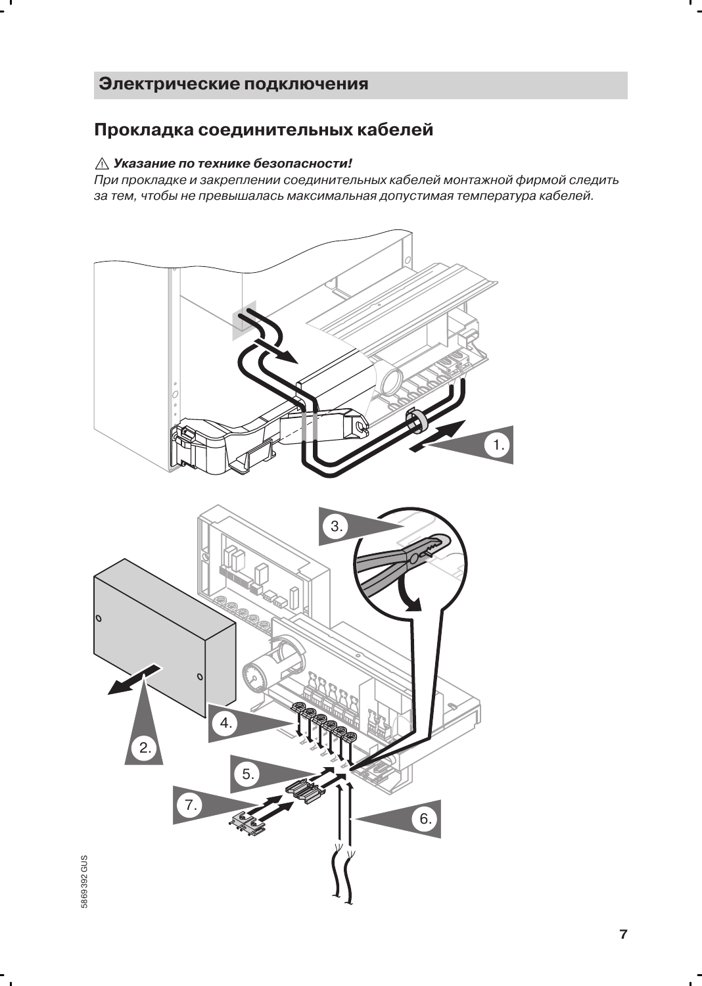### Электрические подключения

### Прокладка соединительных кабелей

#### $\triangle$  Указание по технике безопасности!

При прокладке и закреплении соединительных кабелей монтажной фирмой следить за тем, чтобы не превышалась максимальная допустимая температура кабелей.

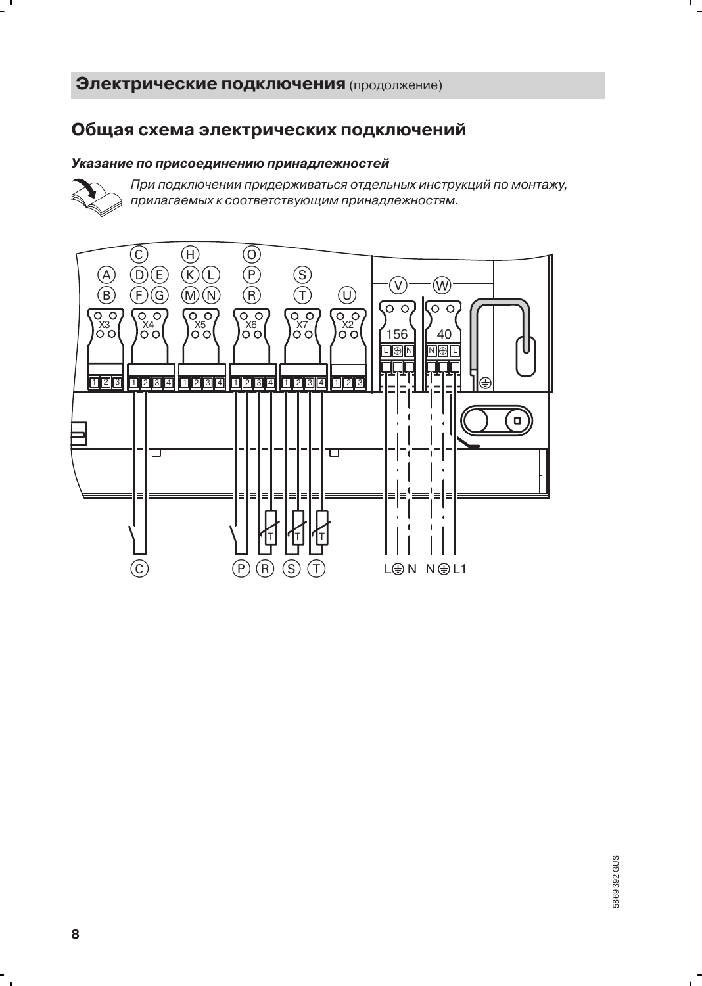#### Общая схема электрических подключений

#### Указание по присоединению принадлежностей



- 1

При подключении придерживаться отдельных инструкций по монтажу, прилагаемых к соответствующим принадлежностям.



 $\sim$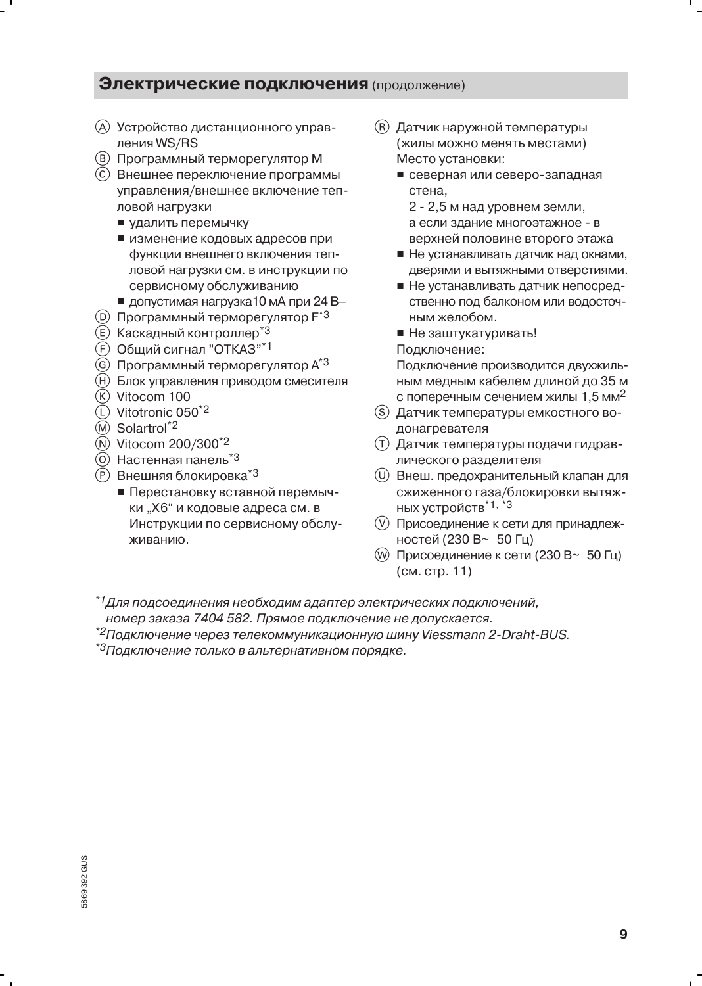- (A) Устройство дистанционного управления WS/RS
- (B) Программный терморегулятор М
- (C) Внешнее переключение программы управления/внешнее включение тепловой нагрузки
	- удалить перемычку
	- изменение кодовых адресов при функции внешнего включения тепловой нагрузки см. в инструкции по сервисному обслуживанию
	- $\blacksquare$  допустимая нагрузка 10 мА при 24 В-
- (D) Программный терморегулятор F<sup>\*3</sup>
- (E) Каскадный контроллер<sup>\*3</sup>
- (F) Общий сигнал "ОТКАЗ"\*1
- **G** Программный терморегулятор А<sup>\*3</sup>
- (H) Блок управления приводом смесителя
- $(R)$  Vitocom 100
- (L) Vitotronic 050<sup>\*2</sup>
- (M) Solartrol<sup>\*2</sup>
- (N) Vitocom 200/300<sup>\*2</sup>
- (0) Настенная панель<sup>\*3</sup>
- (P) Внешняя блокировка<sup>\*3</sup>
	- Перестановку вставной перемычки "Х6" и кодовые адреса см. в Инструкции по сервисному обслуживанию.
- (R) Датчик наружной температуры (жилы можно менять местами) Место установки:
	- северная или северо-западная стена.
		- 2 2,5 м над уровнем земли, а если здание многоэтажное - в верхней половине второго этажа
	- Не устанавливать датчик над окнами, дверями и вытяжными отверстиями.
	- Не устанавливать датчик непосредственно под балконом или водосточным желобом.
	- Не заштукатуривать!

Подключение:

Подключение производится двухжильным медным кабелем длиной до 35 м с поперечным сечением жилы 1,5 мм<sup>2</sup>

- (S) Датчик температуры емкостного водонагревателя
- (Т) Датчик температуры подачи гидравлического разделителя
- (U) Внеш. предохранительный клапан для сжиженного газа/блокировки вытяжных устройств<sup>\*1, \*3</sup>
- (V) Присоединение к сети для принадлежностей (230 В~ 50 Гц)
- (W) Присоединение к сети (230 В∼ 50 Гц) (см. стр. 11)

 $^{\ast}$ 1 Для подсоединения необходим адаптер электрических подключений. номер заказа 7404 582. Прямое подключение не допускается.

 $*$ 2 Подключение через телекоммуникационную шину Viessmann 2-Draht-BUS.

\*<sup>3</sup>Подключение только в альтернативном порядке.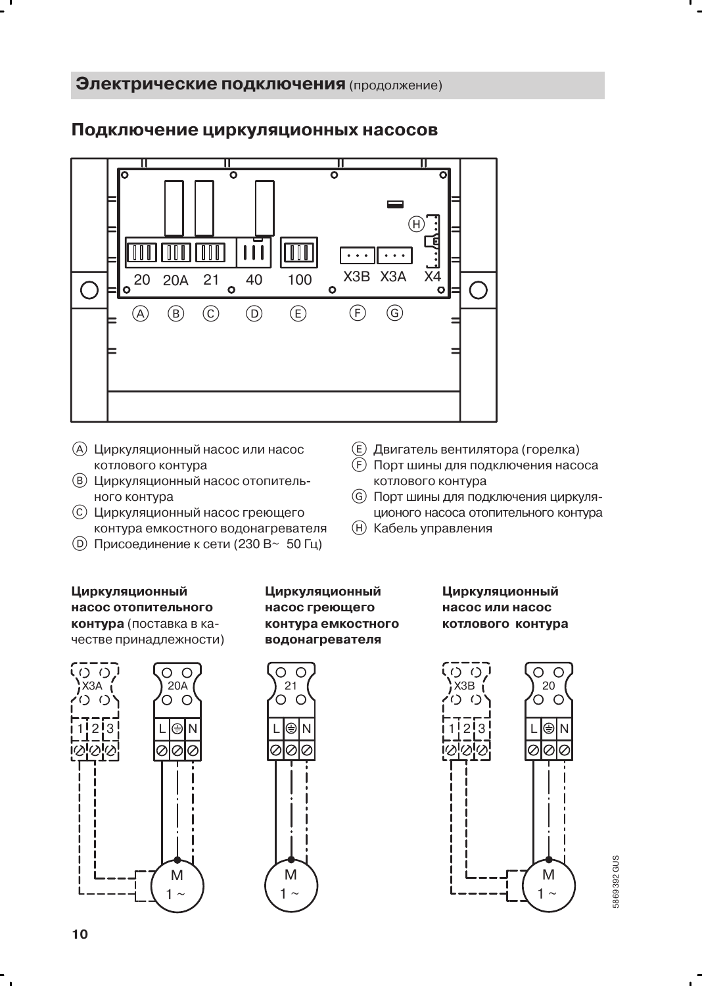

### Подключение циркуляционных насосов

- (A) Циркуляционный насос или насос котлового контура
- (В) Циркуляционный насос отопительного контура
- (С) Циркуляционный насос греющего контура емкостного водонагревателя
- **D** Присоединение к сети (230 В~ 50 Гц)
- Циркуляционный насос отопительного контура (поставка в качестве принадлежности)

#### Циркуляционный насос греющего контура емкостного водонагревателя

#### Циркуляционный насос или насос котлового контура

(E) Двигатель вентилятора (горелка)

котлового контура

**(H)** Кабель управления

(F) Порт шины для подключения насоса

(G) Порт шины для подключения циркуля-

ционого насоса отопительного контура





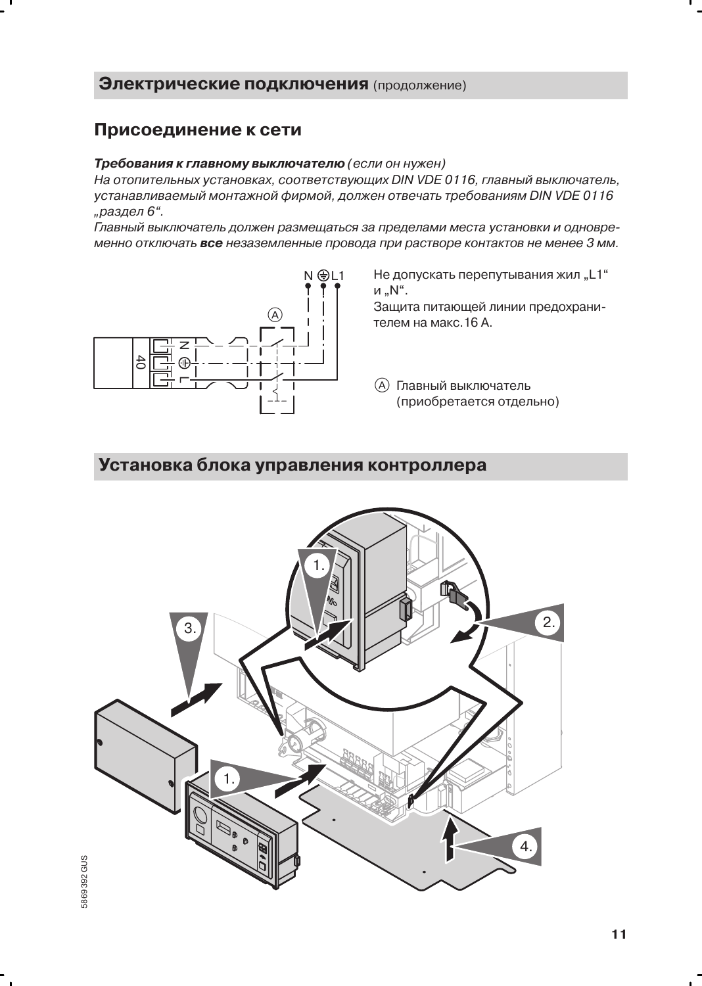### Присоединение к сети

#### Требования к главному выключателю (если он нужен)

На отопительных установках, соответствующих DIN VDE 0116, главный выключатель, устанавливаемый монтажной фирмой, должен отвечать требованиям DIN VDE 0116 "раздел 6".

Главный выключатель должен размещаться за пределами места установки и одновременно отключать все незаземленные провода при растворе контактов не менее 3 мм.



Не допускать перепутывания жил "L1" и "N".

Защита питающей линии предохранителем на макс. 16 А.

(A) Главный выключатель (приобретается отдельно)

### Установка блока управления контроллера